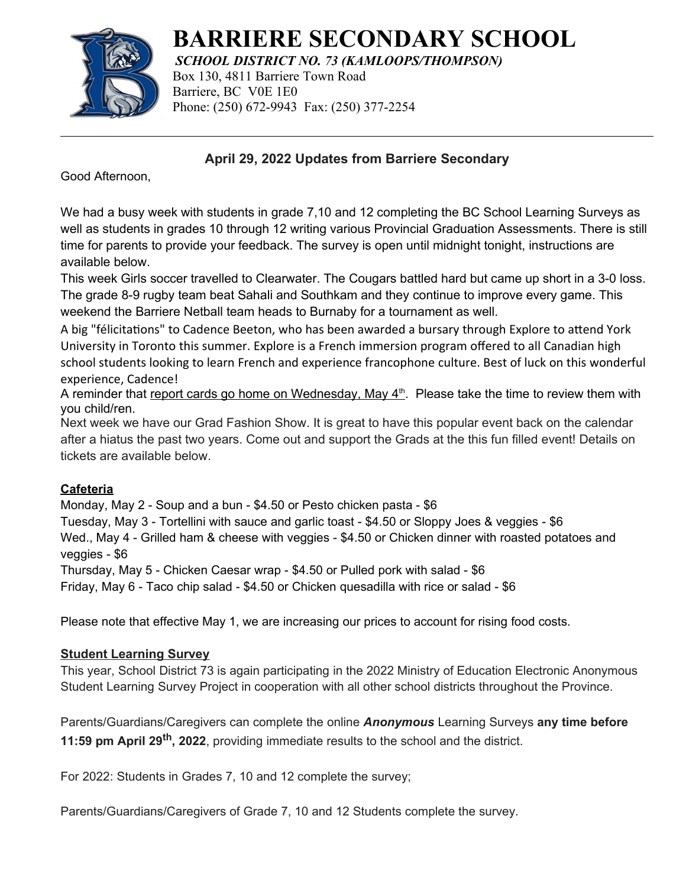

# **BARRIERE SECONDARY SCHOOL**

*SCHOOL DISTRICT NO. 73 (KAMLOOPS/THOMPSON)* Box 130, 4811 Barriere Town Road Barriere, BC V0E 1E0 Phone: (250) 672-9943 Fax: (250) 377-2254

**April 29, 2022 Updates from Barriere Secondary**

Good Afternoon,

We had a busy week with students in grade 7,10 and 12 completing the BC School Learning Surveys as well as students in grades 10 through 12 writing various Provincial Graduation Assessments. There is still time for parents to provide your feedback. The survey is open until midnight tonight, instructions are available below.

This week Girls soccer travelled to Clearwater. The Cougars battled hard but came up short in a 3-0 loss. The grade 8-9 rugby team beat Sahali and Southkam and they continue to improve every game. This weekend the Barriere Netball team heads to Burnaby for a tournament as well.

A big "félicitations" to Cadence Beeton, who has been awarded a bursary through Explore to attend York University in Toronto this summer. Explore is a French immersion program offered to all Canadian high school students looking to learn French and experience francophone culture. Best of luck on this wonderful experience, Cadence!

A reminder that report cards go home on Wednesday, May 4<sup>th</sup>. Please take the time to review them with you child/ren.

Next week we have our Grad Fashion Show. It is great to have this popular event back on the calendar after a hiatus the past two years. Come out and support the Grads at the this fun filled event! Details on tickets are available below.

## **Cafeteria**

Monday, May 2 - Soup and a bun - \$4.50 or Pesto chicken pasta - \$6

Tuesday, May 3 - Tortellini with sauce and garlic toast - \$4.50 or Sloppy Joes & veggies - \$6 Wed., May 4 - Grilled ham & cheese with veggies - \$4.50 or Chicken dinner with roasted potatoes and veggies - \$6

Thursday, May 5 - Chicken Caesar wrap - \$4.50 or Pulled pork with salad - \$6

Friday, May 6 - Taco chip salad - \$4.50 or Chicken quesadilla with rice or salad - \$6

Please note that effective May 1, we are increasing our prices to account for rising food costs.

## **Student Learning Survey**

This year, School District 73 is again participating in the 2022 Ministry of Education Electronic Anonymous Student Learning Survey Project in cooperation with all other school districts throughout the Province.

Parents/Guardians/Caregivers can complete the online *Anonymous* Learning Surveys **any time before 11:59 pm April 29th, 2022**, providing immediate results to the school and the district.

For 2022: Students in Grades 7, 10 and 12 complete the survey;

Parents/Guardians/Caregivers of Grade 7, 10 and 12 Students complete the survey.